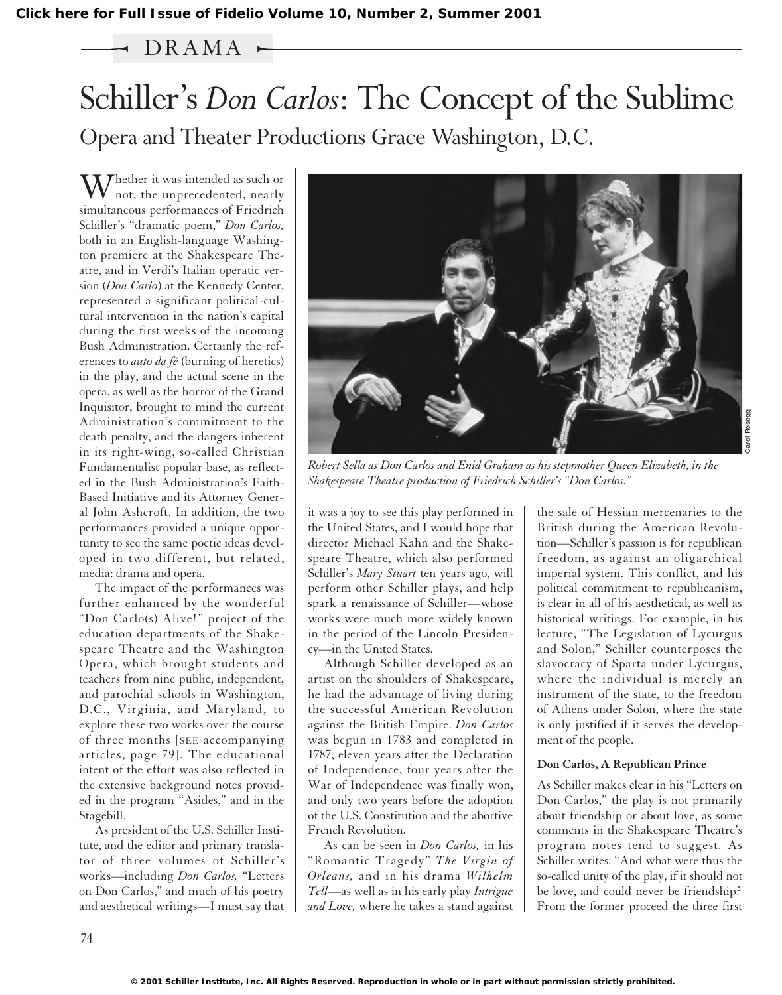# $\rightarrow$  DRAMA  $\sim$

# Schiller's *Don Carlos*: The Concept of the Sublime Opera and Theater Productions Grace Washington, D.C.

 $\sum_{n=1}^{\infty}$  / hether it was intended as such or not, the unprecedented, nearly simultaneous performances of Friedrich Schiller's "dramatic poem," *Don Carlos,* both in an English-language Washington premiere at the Shakespeare Theatre, and in Verdi's Italian operatic version (*Don Carlo*) at the Kennedy Center, represented a significant political-cultural intervention in the nation's capital during the first weeks of the incoming Bush Administration. Certainly the references to *auto da fé* (burning of heretics) in the play, and the actual scene in the opera, as well as the horror of the Grand Inquisitor, brought to mind the current Administration's commitment to the death penalty, and the dangers inherent in its right-wing, so-called Christian Fundamentalist popular base, as reflected in the Bush Administration's Faith-Based Initiative and its Attorney General John Ashcroft. In addition, the two performances provided a unique opportunity to see the same poetic ideas developed in two different, but related, media: drama and opera.

The impact of the performances was further enhanced by the wonderful "Don Carlo(s) Alive!" project of the education departments of the Shakespeare Theatre and the Washington Opera, which brought students and teachers from nine public, independent, and parochial schools in Washington, D.C., Virginia, and Maryland, to explore these two works over the course of three months [SEE accompanying articles, page 79]. The educational intent of the effort was also reflected in the extensive background notes provided in the program "Asides," and in the Stagebill.

As president of the U.S. Schiller Institute, and the editor and primary translator of three volumes of Schiller's works—including *Don Carlos,* "Letters on Don Carlos," and much of his poetry and aesthetical writings—I must say that



*Robert Sella as Don Carlos and Enid Graham as his stepmother Queen Elizabeth, in the Shakespeare Theatre production of Friedrich Schiller's "Don Carlos."* 

it was a joy to see this play performed in the United States, and I would hope that director Michael Kahn and the Shakespeare Theatre, which also performed Schiller's *Mary Stuart* ten years ago, will perform other Schiller plays, and help spark a renaissance of Schiller—whose works were much more widely known in the period of the Lincoln Presidency—in the United States.

Although Schiller developed as an artist on the shoulders of Shakespeare, he had the advantage of living during the successful American Revolution against the British Empire. *Don Carlos* was begun in 1783 and completed in 1787, eleven years after the Declaration of Independence, four years after the War of Independence was finally won, and only two years before the adoption of the U.S. Constitution and the abortive French Revolution.

As can be seen in *Don Carlos,* in his "Romantic Tragedy" *The Virgin of Orleans,* and in his drama *Wilhelm Tell*—as well as in his early play *Intrigue and Love,* where he takes a stand against

the sale of Hessian mercenaries to the British during the American Revolution—Schiller's passion is for republican freedom, as against an oligarchical imperial system. This conflict, and his political commitment to republicanism, is clear in all of his aesthetical, as well as historical writings. For example, in his lecture, "The Legislation of Lycurgus and Solon," Schiller counterposes the slavocracy of Sparta under Lycurgus, where the individual is merely an instrument of the state, to the freedom of Athens under Solon, where the state is only justified if it serves the development of the people.

#### **Don Carlos, A Republican Prince**

As Schiller makes clear in his "Letters on Don Carlos," the play is not primarily about friendship or about love, as some comments in the Shakespeare Theatre's program notes tend to suggest. As Schiller writes: "And what were thus the so-called unity of the play, if it should not be love, and could never be friendship? From the former proceed the three first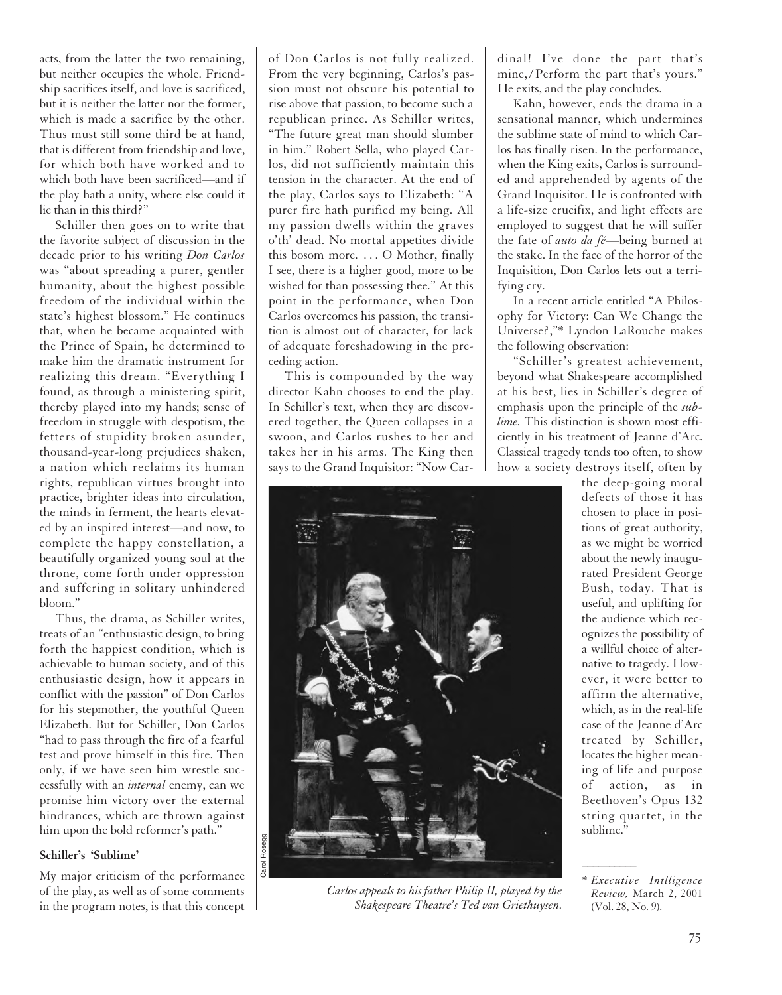acts, from the latter the two remaining, but neither occupies the whole. Friendship sacrifices itself, and love is sacrificed, but it is neither the latter nor the former, which is made a sacrifice by the other. Thus must still some third be at hand, that is different from friendship and love, for which both have worked and to which both have been sacrificed—and if the play hath a unity, where else could it lie than in this third?"

Schiller then goes on to write that the favorite subject of discussion in the decade prior to his writing *Don Carlos* was "about spreading a purer, gentler humanity, about the highest possible freedom of the individual within the state's highest blossom." He continues that, when he became acquainted with the Prince of Spain, he determined to make him the dramatic instrument for realizing this dream. "Everything I found, as through a ministering spirit, thereby played into my hands; sense of freedom in struggle with despotism, the fetters of stupidity broken asunder, thousand-year-long prejudices shaken, a nation which reclaims its human rights, republican virtues brought into practice, brighter ideas into circulation, the minds in ferment, the hearts elevated by an inspired interest—and now, to complete the happy constellation, a beautifully organized young soul at the throne, come forth under oppression and suffering in solitary unhindered bloom."

Thus, the drama, as Schiller writes, treats of an "enthusiastic design, to bring forth the happiest condition, which is achievable to human society, and of this enthusiastic design, how it appears in conflict with the passion" of Don Carlos for his stepmother, the youthful Queen Elizabeth. But for Schiller, Don Carlos "had to pass through the fire of a fearful test and prove himself in this fire. Then only, if we have seen him wrestle successfully with an *internal* enemy, can we promise him victory over the external hindrances, which are thrown against him upon the bold reformer's path."

# **Schiller's 'Sublime'**

My major criticism of the performance of the play, as well as of some comments in the program notes, is that this concept of Don Carlos is not fully realized. From the very beginning, Carlos's passion must not obscure his potential to rise above that passion, to become such a republican prince. As Schiller writes, "The future great man should slumber in him." Robert Sella, who played Carlos, did not sufficiently maintain this tension in the character. At the end of the play, Carlos says to Elizabeth: "A purer fire hath purified my being. All my passion dwells within the graves o'th' dead. No mortal appetites divide this bosom more. . . . O Mother, finally I see, there is a higher good, more to be wished for than possessing thee." At this point in the performance, when Don Carlos overcomes his passion, the transition is almost out of character, for lack of adequate foreshadowing in the preceding action.

This is compounded by the way director Kahn chooses to end the play. In Schiller's text, when they are discovered together, the Queen collapses in a swoon, and Carlos rushes to her and takes her in his arms. The King then says to the Grand Inquisitor: "Now Car-



*Carlos appeals to his father Philip II, played by the Shakespeare Theatre's Ted van Griethuysen.*

dinal! I've done the part that's mine, / Perform the part that's yours." He exits, and the play concludes.

Kahn, however, ends the drama in a sensational manner, which undermines the sublime state of mind to which Carlos has finally risen. In the performance, when the King exits, Carlos is surrounded and apprehended by agents of the Grand Inquisitor. He is confronted with a life-size crucifix, and light effects are employed to suggest that he will suffer the fate of *auto da fé*—being burned at the stake. In the face of the horror of the Inquisition, Don Carlos lets out a terrifying cry.

In a recent article entitled "A Philosophy for Victory: Can We Change the Universe?,"\* Lyndon LaRouche makes the following observation:

"Schiller's greatest achievement, beyond what Shakespeare accomplished at his best, lies in Schiller's degree of emphasis upon the principle of the *sublime.* This distinction is shown most efficiently in his treatment of Jeanne d'Arc. Classical tragedy tends too often, to show how a society destroys itself, often by

the deep-going moral defects of those it has chosen to place in positions of great authority, as we might be worried about the newly inaugurated President George Bush, today. That is useful, and uplifting for the audience which recognizes the possibility of a willful choice of alternative to tragedy. However, it were better to affirm the alternative, which, as in the real-life case of the Jeanne d'Arc treated by Schiller, locates the higher meaning of life and purpose of action, as in Beethoven's Opus 132 string quartet, in the sublime."

 $\overline{\phantom{a}}$ 

<sup>\*</sup> *Executive Intlligence Review,* March 2, 2001 (Vol. 28, No. 9).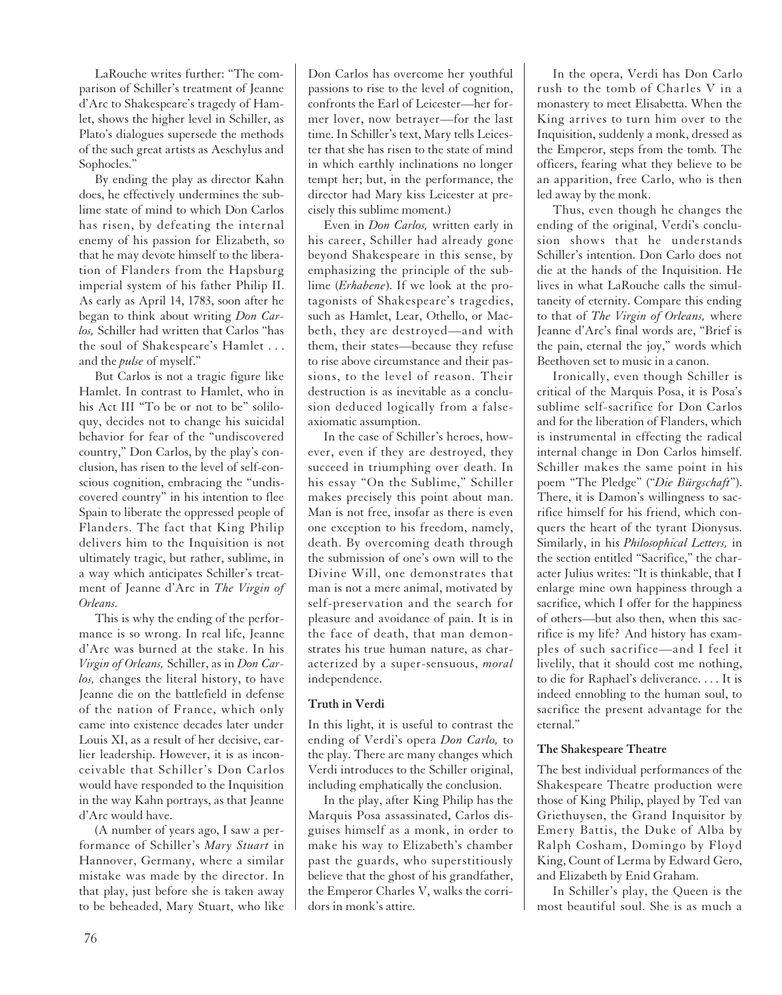LaRouche writes further: "The comparison of Schiller's treatment of Jeanne d'Arc to Shakespeare's tragedy of Hamlet, shows the higher level in Schiller, as Plato's dialogues supersede the methods of the such great artists as Aeschylus and Sophocles."

By ending the play as director Kahn does, he effectively undermines the sublime state of mind to which Don Carlos has risen, by defeating the internal enemy of his passion for Elizabeth, so that he may devote himself to the liberation of Flanders from the Hapsburg imperial system of his father Philip II. As early as April 14, 1783, soon after he began to think about writing *Don Carlos,* Schiller had written that Carlos "has the soul of Shakespeare's Hamlet . . . and the *pulse* of myself."

But Carlos is not a tragic figure like Hamlet. In contrast to Hamlet, who in his Act III "To be or not to be" soliloquy, decides not to change his suicidal behavior for fear of the "undiscovered country," Don Carlos, by the play's conclusion, has risen to the level of self-conscious cognition, embracing the "undiscovered country" in his intention to flee Spain to liberate the oppressed people of Flanders. The fact that King Philip delivers him to the Inquisition is not ultimately tragic, but rather, sublime, in a way which anticipates Schiller's treatment of Jeanne d'Arc in *The Virgin of Orleans.*

This is why the ending of the performance is so wrong. In real life, Jeanne d'Arc was burned at the stake. In his *Virgin of Orleans,* Schiller, as in *Don Carlos,* changes the literal history, to have Jeanne die on the battlefield in defense of the nation of France, which only came into existence decades later under Louis XI, as a result of her decisive, earlier leadership. However, it is as inconceivable that Schiller's Don Carlos would have responded to the Inquisition in the way Kahn portrays, as that Jeanne d'Arc would have.

(A number of years ago, I saw a performance of Schiller's *Mary Stuart* in Hannover, Germany, where a similar mistake was made by the director. In that play, just before she is taken away to be beheaded, Mary Stuart, who like

Don Carlos has overcome her youthful passions to rise to the level of cognition, confronts the Earl of Leicester—her former lover, now betrayer—for the last time. In Schiller's text, Mary tells Leicester that she has risen to the state of mind in which earthly inclinations no longer tempt her; but, in the performance, the director had Mary kiss Leicester at precisely this sublime moment.)

Even in *Don Carlos,* written early in his career, Schiller had already gone beyond Shakespeare in this sense, by emphasizing the principle of the sublime (*Erhabene*). If we look at the protagonists of Shakespeare's tragedies, such as Hamlet, Lear, Othello, or Macbeth, they are destroyed—and with them, their states—because they refuse to rise above circumstance and their passions, to the level of reason. Their destruction is as inevitable as a conclusion deduced logically from a falseaxiomatic assumption.

In the case of Schiller's heroes, however, even if they are destroyed, they succeed in triumphing over death. In his essay "On the Sublime," Schiller makes precisely this point about man. Man is not free, insofar as there is even one exception to his freedom, namely, death. By overcoming death through the submission of one's own will to the Divine Will, one demonstrates that man is not a mere animal, motivated by self-preservation and the search for pleasure and avoidance of pain. It is in the face of death, that man demonstrates his true human nature, as characterized by a super-sensuous, *moral* independence.

# **Truth in Verdi**

In this light, it is useful to contrast the ending of Verdi's opera *Don Carlo,* to the play. There are many changes which Verdi introduces to the Schiller original, including emphatically the conclusion.

In the play, after King Philip has the Marquis Posa assassinated, Carlos disguises himself as a monk, in order to make his way to Elizabeth's chamber past the guards, who superstitiously believe that the ghost of his grandfather, the Emperor Charles V, walks the corridors in monk's attire.

In the opera, Verdi has Don Carlo rush to the tomb of Charles V in a monastery to meet Elisabetta. When the King arrives to turn him over to the Inquisition, suddenly a monk, dressed as the Emperor, steps from the tomb. The officers, fearing what they believe to be an apparition, free Carlo, who is then led away by the monk.

Thus, even though he changes the ending of the original, Verdi's conclusion shows that he understands Schiller's intention. Don Carlo does not die at the hands of the Inquisition. He lives in what LaRouche calls the simultaneity of eternity. Compare this ending to that of *The Virgin of Orleans,* where Jeanne d'Arc's final words are, "Brief is the pain, eternal the joy," words which Beethoven set to music in a canon.

Ironically, even though Schiller is critical of the Marquis Posa, it is Posa's sublime self-sacrifice for Don Carlos and for the liberation of Flanders, which is instrumental in effecting the radical internal change in Don Carlos himself. Schiller makes the same point in his poem "The Pledge" ("*Die Bürgschaft*"). There, it is Damon's willingness to sacrifice himself for his friend, which conquers the heart of the tyrant Dionysus. Similarly, in his *Philosophical Letters,* in the section entitled "Sacrifice," the character Julius writes: "It is thinkable, that I enlarge mine own happiness through a sacrifice, which I offer for the happiness of others—but also then, when this sacrifice is my life? And history has examples of such sacrifice—and I feel it livelily, that it should cost me nothing, to die for Raphael's deliverance. . . . It is indeed ennobling to the human soul, to sacrifice the present advantage for the eternal."

# **The Shakespeare Theatre**

The best individual performances of the Shakespeare Theatre production were those of King Philip, played by Ted van Griethuysen, the Grand Inquisitor by Emery Battis, the Duke of Alba by Ralph Cosham, Domingo by Floyd King, Count of Lerma by Edward Gero, and Elizabeth by Enid Graham.

In Schiller's play, the Queen is the most beautiful soul. She is as much a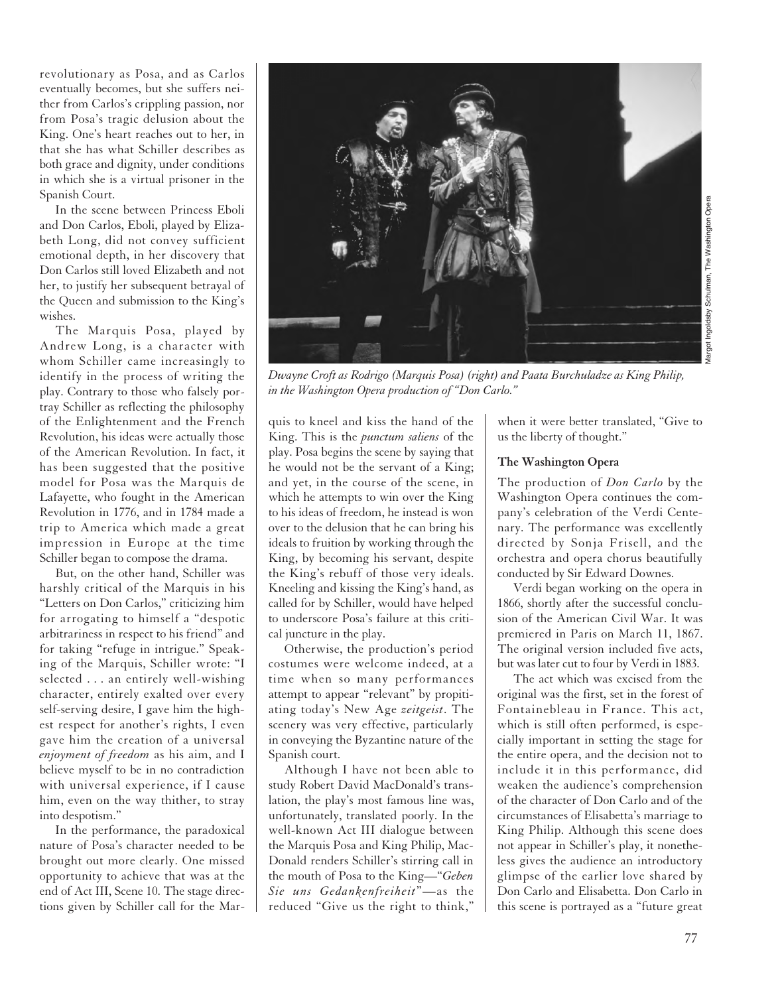revolutionary as Posa, and as Carlos eventually becomes, but she suffers neither from Carlos's crippling passion, nor from Posa's tragic delusion about the King. One's heart reaches out to her, in that she has what Schiller describes as both grace and dignity, under conditions in which she is a virtual prisoner in the Spanish Court.

In the scene between Princess Eboli and Don Carlos, Eboli, played by Elizabeth Long, did not convey sufficient emotional depth, in her discovery that Don Carlos still loved Elizabeth and not her, to justify her subsequent betrayal of the Queen and submission to the King's wishes.

The Marquis Posa, played by Andrew Long, is a character with whom Schiller came increasingly to identify in the process of writing the play. Contrary to those who falsely portray Schiller as reflecting the philosophy of the Enlightenment and the French Revolution, his ideas were actually those of the American Revolution. In fact, it has been suggested that the positive model for Posa was the Marquis de Lafayette, who fought in the American Revolution in 1776, and in 1784 made a trip to America which made a great impression in Europe at the time Schiller began to compose the drama.

But, on the other hand, Schiller was harshly critical of the Marquis in his "Letters on Don Carlos," criticizing him for arrogating to himself a "despotic arbitrariness in respect to his friend" and for taking "refuge in intrigue." Speaking of the Marquis, Schiller wrote: "I selected . . . an entirely well-wishing character, entirely exalted over every self-serving desire, I gave him the highest respect for another's rights, I even gave him the creation of a universal *enjoyment of freedom* as his aim, and I believe myself to be in no contradiction with universal experience, if I cause him, even on the way thither, to stray into despotism."

In the performance, the paradoxical nature of Posa's character needed to be brought out more clearly. One missed opportunity to achieve that was at the end of Act III, Scene 10. The stage directions given by Schiller call for the Marquis to kneel and kiss the hand of the King. This is the *punctum saliens* of the play. Posa begins the scene by saying that he would not be the servant of a King; and yet, in the course of the scene, in which he attempts to win over the King to his ideas of freedom, he instead is won over to the delusion that he can bring his ideals to fruition by working through the King, by becoming his servant, despite the King's rebuff of those very ideals. Kneeling and kissing the King's hand, as called for by Schiller, would have helped to underscore Posa's failure at this critical juncture in the play.

*in the Washington Opera production of "Don Carlo."*

Otherwise, the production's period costumes were welcome indeed, at a time when so many performances attempt to appear "relevant" by propitiating today's New Age *zeitgeist*. The scenery was very effective, particularly in conveying the Byzantine nature of the Spanish court.

Although I have not been able to study Robert David MacDonald's translation, the play's most famous line was, unfortunately, translated poorly. In the well-known Act III dialogue between the Marquis Posa and King Philip, Mac-Donald renders Schiller's stirring call in the mouth of Posa to the King—"*Geben Sie uns Gedankenfreiheit*"—as the reduced "Give us the right to think,"

when it were better translated, "Give to us the liberty of thought."

#### **The Washington Opera**

The production of *Don Carlo* by the Washington Opera continues the company's celebration of the Verdi Centenary. The performance was excellently directed by Sonja Frisell, and the orchestra and opera chorus beautifully conducted by Sir Edward Downes.

Verdi began working on the opera in 1866, shortly after the successful conclusion of the American Civil War. It was premiered in Paris on March 11, 1867. The original version included five acts, but was later cut to four by Verdi in 1883.

The act which was excised from the original was the first, set in the forest of Fontainebleau in France. This act, which is still often performed, is especially important in setting the stage for the entire opera, and the decision not to include it in this performance, did weaken the audience's comprehension of the character of Don Carlo and of the circumstances of Elisabetta's marriage to King Philip. Although this scene does not appear in Schiller's play, it nonetheless gives the audience an introductory glimpse of the earlier love shared by Don Carlo and Elisabetta. Don Carlo in this scene is portrayed as a "future great